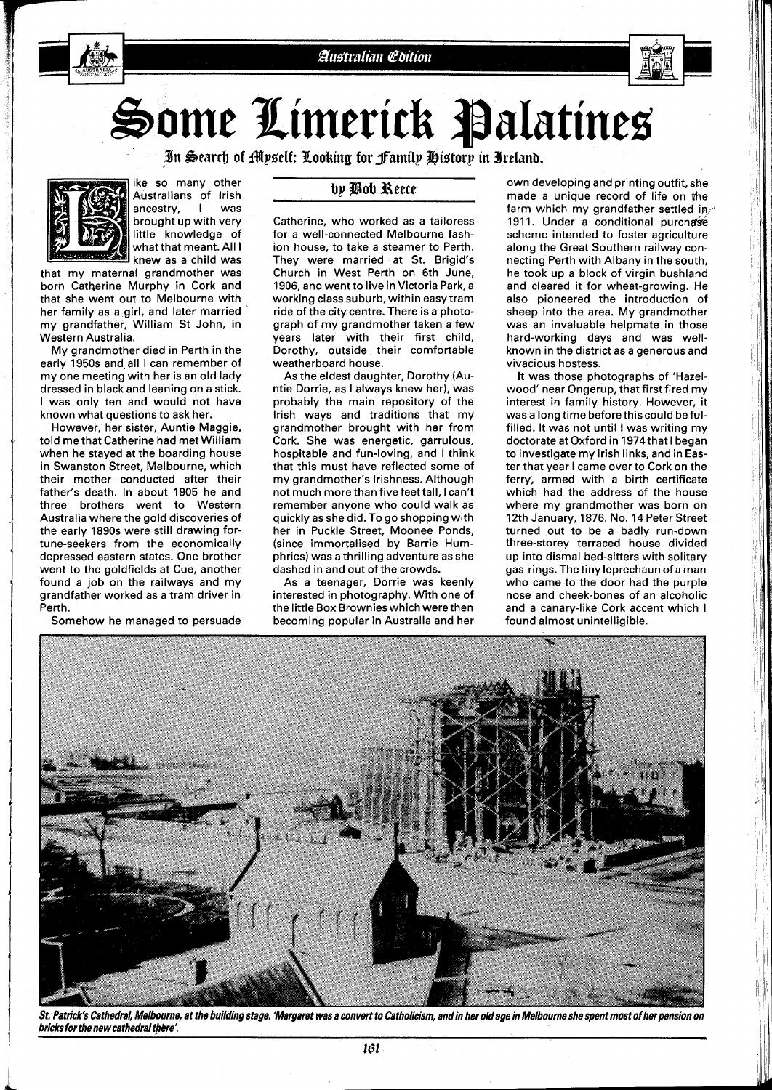

## Some Limerick Palatines

*n %earcb of Wlpaelf: Xooking for jFamilp ~ietorj in 3relanb.* 



ike so many other Australians of lrish ancestry, I was brought up with very little knowledge of what that meant. All I knew as a child was

that my maternal grandmother was born Catherine Murphy in Cork and that she went out to Melbourne with her family as a girl, and later married my grandfather, William St John, in Western Australia.

My grandmother died in Perth in the early 1950s and all I can remember of my one meeting with her is an old lady dressed in black and leaning on a stick. I was only ten and would not have known what questions to ask her.

However, her sister, Auntie Maggie, told me that Catherine had met William when he stayed at the boarding house in Swanston Street, Melbourne, which their mother conducted after their father's death. In about 1905 he and three brothers went to Western Australia where the gold discoveries of the early 1890s were still drawing fortune-seekers from the economically depressed eastern states. One brother went to the goldfields at Cue, another found a job on the railways and my grandfather worked as a tram driver in Perth.

Somehow he managed to persuade

## by Bob Reece

Catherine, who worked as a talloress for a well-connected Melbourne fashion house, to take a steamer to Perth. They were married at St. Brigid's Church in West Perth on 6th June, 1906, and went to live in Victoria Park, a working class suburb, within easy tram ride of the city centre. There is a photograph of my grandmother taken a few years later with their first child, Dorothy, outside their comfortable weatherboard house.

As the eldest daughter, Dorothy (Auntie Dorrie, as I always knew her), was probably the main repository of the lrish ways and traditions that my grandmother brought with her from Cork. She was energetic, garrulous, hospitable and fun-loving, and I think that this must have reflected some of my grandmother's Irishness. Although not much more than five feet tall, I can't remember anyone who could walk as quickly as she did. To go shopping with her in Puckle Street, Moonee Ponds, (since immortalised by Barrie Humphries) was a thrilling adventure as she dashed in and out of the crowds.

As a teenager, Dorrie was keenly interested in photography. With one of the little Box Brownies which were then becoming popular in Australia and her

own developing and printing outfit, she made a unique record of life on the farm which my grandfather settled in, 1911. Under a conditional purchase scheme intended to foster agriculture along the Great Southern railway connecting Perth with Albany in the south, he took up a block of virgin bushland and cleared it for wheat-growing. He also pioneered the introduction of sheep into the area. My grandmother was an invaluable helpmate in those hard-working days and was wellknown in the district as a generous and vivacious hostess.

It was those photographs of 'Hazelwood' near Ongerup, that first fired my interest in family history. However, it was a long time before thiscould befulfilled. It was not until I was writing my doctorate at Oxford in 1974that I began to investigate my lrish links, and in Easter that year I came over to Cork on the ferry, armed with a birth certificate which had the address of the house where my grandmother was born on 12th January, 1876. No. 14 Peter Street turned out to be a badly run-down three-storey terraced house divided up into dismal bed-sitters with solitary gas-rings. The tiny leprechaun of a man who came to the door had the purple nose and cheek-bones of an alcoholic and a canary-like Cork accent which I found almost unintelligible.



St. Patrick's Cathedral, Melbourne, at the building stage. 'Margaret was a convert to Catholicism, and in her old age in Melbourne she spent most of her pension on bricks for the new cathedral there'.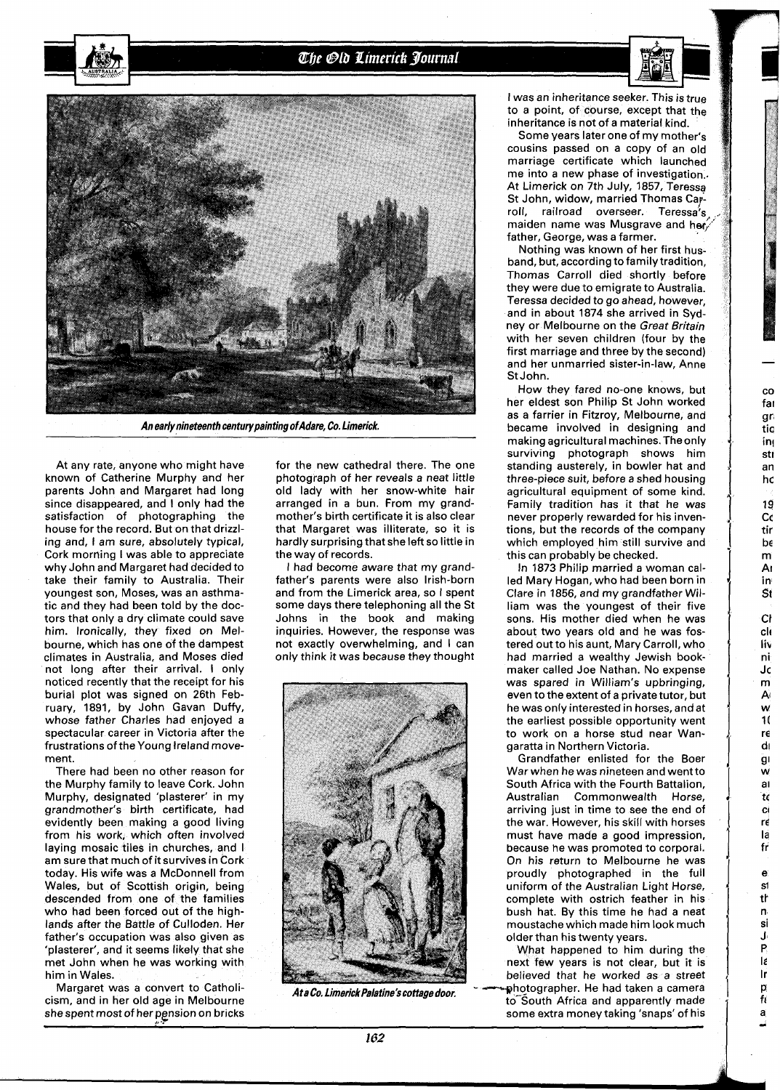The Old Limerick Journal





**An early nineteenth centurypainting ofAdare, Co. Limerick.** 

At any rate, anyone who might have known of Catherine Murphy and her parents John and Margaret had long since disappeared, and I only had the satisfaction of photographing the house for the record. But on that drizzling and, I am sure, absolutely typical, Cork morning I was able to appreciate why John and Margaret had decided to take their family to Australia. Their youngest son, Moses, was an asthmatic and they had been told by the doctors that only a dry climate could save him. Ironically, they fixed on Melbourne, which has one of the dampest climates in Australia, and Moses died not long after their arrival. I only noticed recently that the receipt for his burial plot was signed on 26th February, 1891, by John Gavan Duffy, whose father Charles had enjoyed a spectacular career in Victoria after the frustrations of the Young Ireland movement.

There had been no other reason for the Murphy family to leave Cork. John Murphy, designated 'plasterer' in my grandmother's birth certificate, had evidently been making a good living from his work, which often involved laying mosaic tiles in churches, and I am sure that much of it survives in Cork today. His wife was a McDonnell from Wales, but of Scottish origin, being descended from one of the families who had been forced out of the highlands after the Battle of Culloden. Her father's occupation was also given as 'plasterer', and it seems likely that she met John when he was working with him in Wales.

Margaret was a convert to Catholicism, and in her old age in Melbourne she spent most of her pension on bricks for the new cathedral there. The one photograph of her reveals a neat little old lady with her snow-white hair arranged in a bun. From my grandmother's birth certificate it is also clear that Margaret was illiterate, so it is hardly surprising that she left so little in the way of records.

I had become aware that my grandfather's parents were also Irish-born and from the Limerick area, so I spent some days there telephoning all the St Johns in the book and making inquiries. However, the response was not exactly overwhelming, and I can only think it was because they thought



I was an inheritance seeker. This is true to a point, of course, except that the inheritance is not of a material kind.

Some years later one of my mother's cousins passed on a copy of an old marriage certificate which launched me into a new phase of investigation.. At Limerick on 7th July, 1857, Teressa St John, widow, married Thomas Ca roll, railroad overseer. Teressa's maiden name was Musgrave and her father, George, was a farmer.

Nothing was known of her first husband, but, according to family tradition, Thomas Carroll died shortly before they were due to emigrate to Australia. Teressa decided to go ahead, however, and in about 1874 she arrived in Sydney or Melbourne on the Great Britain with her seven children (four by the first marriage and three by the second) and her unmarried sister-in-law, Anne St John.

-

CO fa1 gr tia in! Stl an hc **19 Cc**  tir be m AI in **St**  Cl cli lit n i J c m  $\mathbf{A}$ W 1 ( re  $di$  $\ddot{g}$ W a I t( Cl rd l **a**  fr e S1 tk n si J P  $\mathbf{e}$ Ir P fl a

How they fared no-one knows, but her eldest son Philip St John worked as a farrier in Fitzroy, Melbourne, and became involved in designing and making agricultural machines. Theonly surviving photograph shows him standing austerely, in bowler hat and three-piece suit, before a shed housing agricultural equipment of some kind. Family tradition has it that he was never properly rewarded for his inventions, but the records of the company which employed him still survive and this can probably be checked.

In 1873 Philip married a woman called Mary Hogan, who had been born in Clare in 1856, and my grandfather William was the youngest of their five sons. His mother died when he was about two years old and he was fostered out to his aunt, Mary Carroll, who had married a wealthy Jewish bookmaker called Joe Nathan. No expense was spared in William's upbringing, even to the extent of a private tutor, but he was only interested in horses, and at the earliest possible opportunity went to work on a horse stud near Wangaratta in Northern Victoria.

Grandfather enlisted for the Boer War when he was nineteen and went to South Africa with the Fourth Battalion, Australian Commonwealth Horse, arriving just in time to see the end of the war. However, his skill with horses must have made a good impression, because he was promoted to corporal. On his return to Melbourne he was proudly photographed in the full uniform of the Australian Light Horse, complete with ostrich feather in his bush hat. By this time he had a neat moustache which made him look much older than his twenty years.

What happened to him during the next few years is not clear, but it is believed that he worked as a street AtaCo.Limerick Palatine's cottage door, **Fig. 1966** who to grapher. He had taken a camera to<sup>-South</sup> Africa and apparently made some extra money taking 'snaps' of his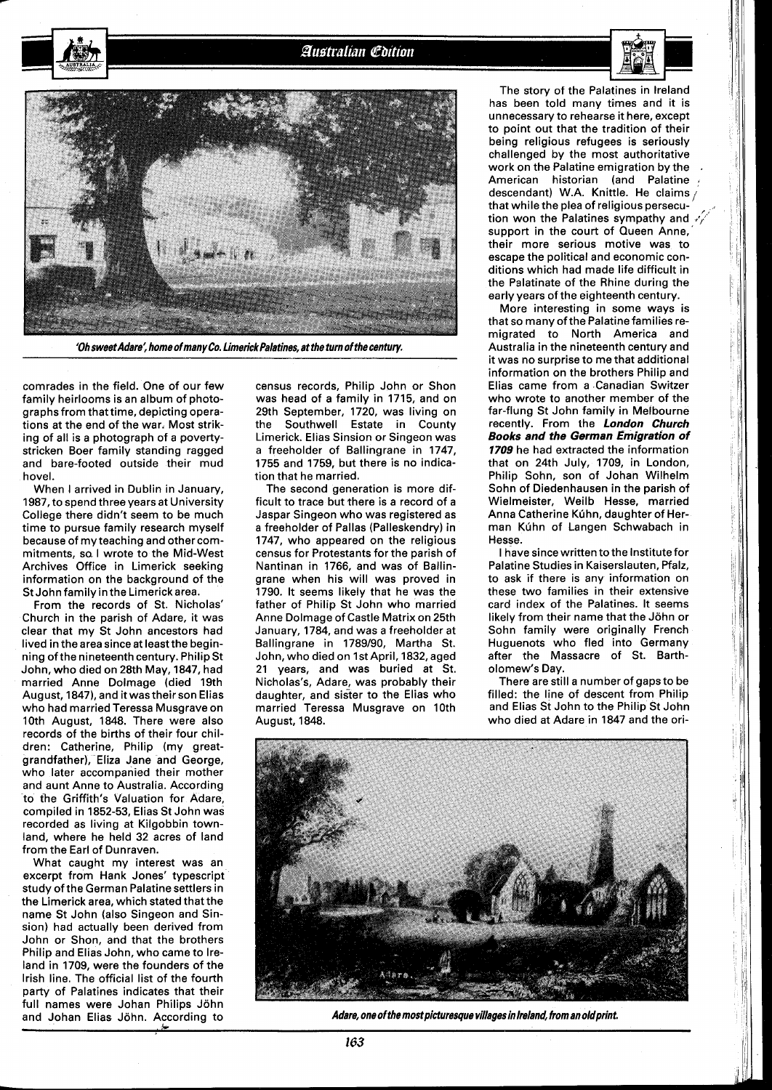**Australian Edition** 



**'Oh sweet Adare; home of many Co. Limerick Palatines, at the turn of the century.** 

comrades in the field. One of our few family heirlooms is an album of photographs from that time, depicting operations at the end of the war. Most striking of all is a photograph of a povertystricken Boer family standing ragged and bare-footed outside their mud hovel.

When I arrived in Dublin in January, 1987, to spend three years at University College there didn't seem to be much time to pursue family research myself because of my teaching and other commitments, sa I wrote to the Mid-West Archives Office in Limerick seeking information on the background of the St John family in the Limerickarea.

From the records of St. Nicholas' Church in the parish of Adare, it was clear that my St John ancestors had lived in the area since at least the beginning of the nineteenth century. Philip St John, who died on 28th May, 1847, had married Anne Dolmage (died 19th August, 1847), and it was their son Elias who had married Teressa Musgrave on 10th August, 1848. There were also records of the births of their four children: Catherine, Philip (my greatgrandfather), Eliza Jane and George, who later accompanied their mother and aunt Anne to Australia. According to the Griffith's Valuation for Adare, compiled in 1852-53, Elias St John was recorded as living at Kilgobbin townland, where he held 32 acres of land from the Earl of Dunraven.

What caught my interest was an excerpt from Hank Jones' typescript study of the German Palatine settlers in the Limerick area, which stated that the name St John (also Singeon and Sinsion) had actually been derived from John or Shon, and that the brothers Philip and Elias John, who came to Ireland in 1709, were the founders of the Irish line. The official list of the fourth party of Palatines indicates that their full names were Johan Philips John and Johan Elias John. According to

census records, Philip John or Shon was head of a family in 1715, and on 29th September, 1720, was living on the Southwell Estate in County Limerick. Elias Sinsion or Singeon was a freeholder of Ballingrane in 1747, 1755 and 1759, but there is no indication that he married.

The second generation is more difficult to trace but there is a record of a Jaspar Singeon who was registered as a freeholder of Pallas (Palleskendry) in 1747, who appeared on the religious census for Protestants for the parish of Nantinan in 1766, and was of Ballingrane when his will was proved in 1790. It seems likely that he was the father of Philip St John who married Anne Dolmage of Castle Matrix on 25th January, 1784, and was a freeholder at Ballingrane in 1789/90, Martha St. John, who died on 1st April, 1832, aged 21 years, and was buried at St. Nicholas's, Adare, was probably their daughter, and sister to the Elias who married Teressa Musgrave on 10th August, 1848.

The story of the Palatines in Ireland has been told many times and it is unnecessary to rehearse it here, except to point out that the tradition of their being religious refugees is seriously challenged by the most authoritative work on the Palatine emigration by the American historian (and Palatine descendant) W.A. Knittle. He claims  $/$ that while the plea of religious persecution won the Palatines sympathy and  $\sqrt{r}$ support in the court of Queen Anne, their more serious motive was to escape the political and economic conditions which had made life difficult in the Palatinate of the Rhine during the early years of the eighteenth century.

More interesting in some ways is that so many of the Palatine families remigrated to North America and Australia in the nineteenth century and it was no surprise to me that additional information on the brothers Philip and Elias came from a Canadian Switzer who wrote to another member of the far-flung St John family in Melbourne recently. From the **London Church Books and the German Emigration of 1709** he had extracted the information that on 24th July, 1709, in London, Philip Sohn, son of Johan Wilhelm Sohn of Diedenhausen in the parish of Wielmeister, Weilb Hesse, married Anna Catherine Kuhn, daughter of Herman Kúhn of Langen Schwabach in Hesse.

I have sincewritten to the Institute for Palatine Studies in Kaiserslauten, Pfalz, to ask if there is any information on these two families in their extensive card index of the Palatines. It seems likely from their name that the John or Sohn family were originally French Huguenots who fled into Germany after the Massacre of St. Bartholomew's Day.

There are still a number of gaps to be filled: the line of descent from Philip and Elias St John to the Philip St John who died at Adare in 1847 and the ori-



Adare, one of the most picturesque villages in Ireland, from an old print.